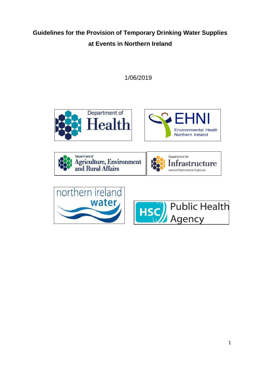# **Guidelines for the Provision of Temporary Drinking Water Supplies at Events in Northern Ireland**

1/06/2019











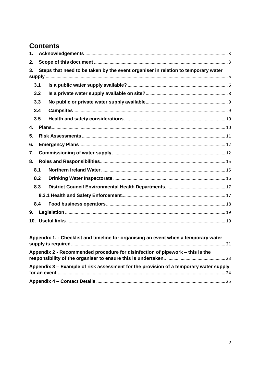# **Contents**

| 1.             |                                                                                   |                                                                                     |  |  |
|----------------|-----------------------------------------------------------------------------------|-------------------------------------------------------------------------------------|--|--|
| 2.             |                                                                                   |                                                                                     |  |  |
| 3.             | Steps that need to be taken by the event organiser in relation to temporary water |                                                                                     |  |  |
|                |                                                                                   |                                                                                     |  |  |
| 3.1            |                                                                                   |                                                                                     |  |  |
| 3.2            |                                                                                   |                                                                                     |  |  |
| 3.3            |                                                                                   |                                                                                     |  |  |
| 3.4            |                                                                                   |                                                                                     |  |  |
| 3.5            |                                                                                   |                                                                                     |  |  |
| 4.             |                                                                                   |                                                                                     |  |  |
| 5.             |                                                                                   |                                                                                     |  |  |
| 6.             |                                                                                   |                                                                                     |  |  |
| 7.             |                                                                                   |                                                                                     |  |  |
| 8.             |                                                                                   |                                                                                     |  |  |
| 8.1            |                                                                                   |                                                                                     |  |  |
| 8.2            |                                                                                   |                                                                                     |  |  |
| 8.3            |                                                                                   |                                                                                     |  |  |
|                |                                                                                   |                                                                                     |  |  |
| 8.4            |                                                                                   |                                                                                     |  |  |
| 9 <sub>1</sub> |                                                                                   |                                                                                     |  |  |
|                |                                                                                   |                                                                                     |  |  |
|                |                                                                                   |                                                                                     |  |  |
|                |                                                                                   | Appendix 1. - Checklist and timeline for organising an event when a temporary water |  |  |
|                |                                                                                   |                                                                                     |  |  |

| Appendix 2 - Recommended procedure for disinfection of pipework – this is the         |  |
|---------------------------------------------------------------------------------------|--|
| Appendix 3 – Example of risk assessment for the provision of a temporary water supply |  |
|                                                                                       |  |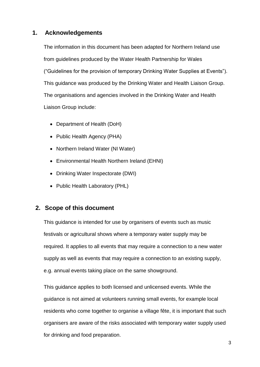## <span id="page-2-0"></span>**1. Acknowledgements**

The information in this document has been adapted for Northern Ireland use from guidelines produced by the Water Health Partnership for Wales ("Guidelines for the provision of temporary Drinking Water Supplies at Events"). This guidance was produced by the Drinking Water and Health Liaison Group. The organisations and agencies involved in the Drinking Water and Health Liaison Group include:

- Department of Health (DoH)
- Public Health Agency (PHA)
- Northern Ireland Water (NI Water)
- Environmental Health Northern Ireland (EHNI)
- Drinking Water Inspectorate (DWI)
- Public Health Laboratory (PHL)

## <span id="page-2-1"></span>**2. Scope of this document**

This guidance is intended for use by organisers of events such as music festivals or agricultural shows where a temporary water supply may be required. It applies to all events that may require a connection to a new water supply as well as events that may require a connection to an existing supply, e.g. annual events taking place on the same showground.

This guidance applies to both licensed and unlicensed events. While the guidance is not aimed at volunteers running small events, for example local residents who come together to organise a village fête, it is important that such organisers are aware of the risks associated with temporary water supply used for drinking and food preparation.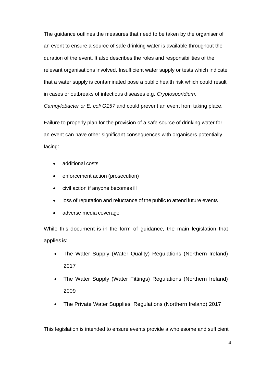The guidance outlines the measures that need to be taken by the organiser of an event to ensure a source of safe drinking water is available throughout the duration of the event. It also describes the roles and responsibilities of the relevant organisations involved. Insufficient water supply or tests which indicate that a water supply is contaminated pose a public health risk which could result in cases or outbreaks of infectious diseases e.g. *Cryptosporidium, Campylobacter or E. coli O157* and could prevent an event from taking place.

Failure to properly plan for the provision of a safe source of drinking water for an event can have other significant consequences with organisers potentially facing:

- additional costs
- enforcement action (prosecution)
- civil action if anyone becomes ill
- loss of reputation and reluctance of the public to attend future events
- adverse media coverage

While this document is in the form of guidance, the main legislation that applies is:

- The Water Supply (Water Quality) Regulations (Northern Ireland) 2017
- The Water Supply (Water Fittings) Regulations (Northern Ireland) 2009
- The Private Water Supplies Regulations (Northern Ireland) 2017

This legislation is intended to ensure events provide a wholesome and sufficient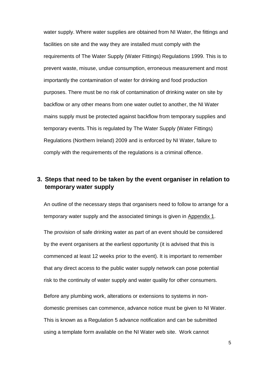water supply. Where water supplies are obtained from NI Water, the fittings and facilities on site and the way they are installed must comply with the requirements of The Water Supply (Water Fittings) Regulations 1999. This is to prevent waste, misuse, undue consumption, erroneous measurement and most importantly the contamination of water for drinking and food production purposes. There must be no risk of contamination of drinking water on site by backflow or any other means from one water outlet to another, the NI Water mains supply must be protected against backflow from temporary supplies and temporary events. This is regulated by The Water Supply (Water Fittings) Regulations (Northern Ireland) 2009 and is enforced by NI Water, failure to comply with the requirements of the regulations is a criminal offence.

## <span id="page-4-0"></span>**3. Steps that need to be taken by the event organiser in relation to temporary water supply**

An outline of the necessary steps that organisers need to follow to arrange for a temporary water supply and the associated timings is given in Appendix 1.

The provision of safe drinking water as part of an event should be considered by the event organisers at the earliest opportunity (it is advised that this is commenced at least 12 weeks prior to the event). It is important to remember that any direct access to the public water supply network can pose potential risk to the continuity of water supply and water quality for other consumers.

Before any plumbing work, alterations or extensions to systems in nondomestic premises can commence, advance notice must be given to NI Water. This is known as a Regulation 5 advance notification and can be submitted using a template form available on the NI Water web site. Work cannot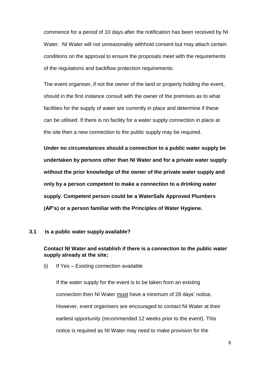commence for a period of 10 days after the notification has been received by NI Water. NI Water will not unreasonably withhold consent but may attach certain conditions on the approval to ensure the proposals meet with the requirements of the regulations and backflow protection requirements.

The event organiser, if not the owner of the land or property holding the event, should in the first instance consult with the owner of the premises as to what facilities for the supply of water are currently in place and determine if these can be utilised. If there is no facility for a water supply connection in place at the site then a new connection to the public supply may be required.

**Under no circumstances should a connection to a public water supply be undertaken by persons other than NI Water and for a private water supply without the prior knowledge of the owner of the private water supply and only by a person competent to make a connection to a drinking water supply. Competent person could be a WaterSafe Approved Plumbers (AP's) or a person familiar with the Principles of Water Hygiene.**

#### <span id="page-5-0"></span>**3.1 Is a public water supply available?**

### **Contact NI Water and establish if there is a connection to the public water supply already at the site;**

(i) If Yes – Existing connection available

If the water supply for the event is to be taken from an existing connection then NI Water must have a minimum of 28 days' notice. However, event organisers are encouraged to contact NI Water at their earliest opportunity (recommended 12 weeks prior to the event). This notice is required as NI Water may need to make provision for the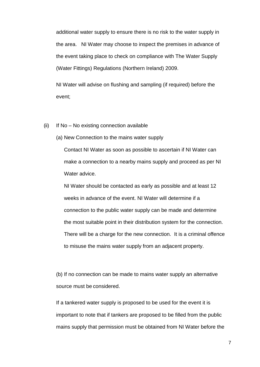additional water supply to ensure there is no risk to the water supply in the area. NI Water may choose to inspect the premises in advance of the event taking place to check on compliance with The Water Supply (Water Fittings) Regulations (Northern Ireland) 2009.

NI Water will advise on flushing and sampling (if required) before the event;

- (ii) If No No existing connection available
	- (a) New Connection to the mains water supply

Contact NI Water as soon as possible to ascertain if NI Water can make a connection to a nearby mains supply and proceed as per NI Water advice.

NI Water should be contacted as early as possible and at least 12 weeks in advance of the event. NI Water will determine if a connection to the public water supply can be made and determine the most suitable point in their distribution system for the connection. There will be a charge for the new connection. It is a criminal offence to misuse the mains water supply from an adjacent property.

(b) If no connection can be made to mains water supply an alternative source must be considered.

If a tankered water supply is proposed to be used for the event it is important to note that if tankers are proposed to be filled from the public mains supply that permission must be obtained from NI Water before the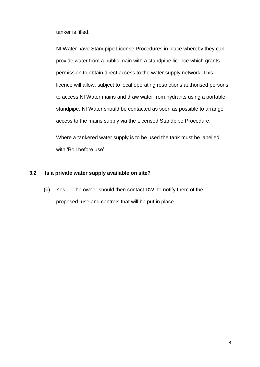tanker is filled.

NI Water have Standpipe License Procedures in place whereby they can provide water from a public main with a standpipe licence which grants permission to obtain direct access to the water supply network. This licence will allow, subject to local operating restrictions authorised persons to access NI Water mains and draw water from hydrants using a portable standpipe. NI Water should be contacted as soon as possible to arrange access to the mains supply via the Licensed Standpipe Procedure.

Where a tankered water supply is to be used the tank must be labelled with 'Boil before use'.

#### <span id="page-7-0"></span>**3.2 Is a private water supply available on site?**

(iii) Yes – The owner should then contact DWI to notify them of the proposed use and controls that will be put in place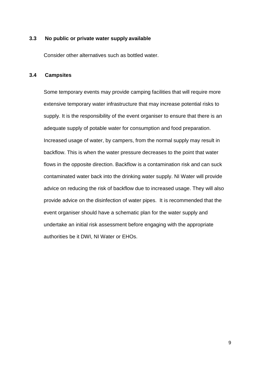#### <span id="page-8-0"></span>**3.3 No public or private water supply available**

Consider other alternatives such as bottled water.

#### <span id="page-8-1"></span>**3.4 Campsites**

Some temporary events may provide camping facilities that will require more extensive temporary water infrastructure that may increase potential risks to supply. It is the responsibility of the event organiser to ensure that there is an adequate supply of potable water for consumption and food preparation. Increased usage of water, by campers, from the normal supply may result in backflow. This is when the water pressure decreases to the point that water flows in the opposite direction. Backflow is a contamination risk and can suck contaminated water back into the drinking water supply. NI Water will provide advice on reducing the risk of backflow due to increased usage. They will also provide advice on the disinfection of water pipes. It is recommended that the event organiser should have a schematic plan for the water supply and undertake an initial risk assessment before engaging with the appropriate authorities be it DWI, NI Water or EHOs.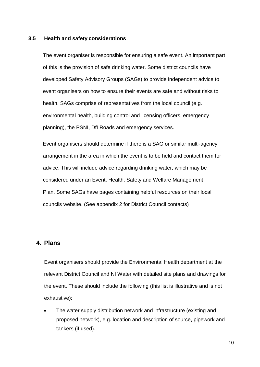#### <span id="page-9-0"></span>**3.5 Health and safety considerations**

The event organiser is responsible for ensuring a safe event. An important part of this is the provision of safe drinking water. Some district councils have developed Safety Advisory Groups (SAGs) to provide independent advice to event organisers on how to ensure their events are safe and without risks to health. SAGs comprise of representatives from the local council (e.g. environmental health, building control and licensing officers, emergency planning), the PSNI, DfI Roads and emergency services.

Event organisers should determine if there is a SAG or similar multi-agency arrangement in the area in which the event is to be held and contact them for advice. This will include advice regarding drinking water, which may be considered under an Event, Health, Safety and Welfare Management Plan. Some SAGs have pages containing helpful resources on their local councils website. (See appendix 2 for District Council contacts)

### <span id="page-9-1"></span>**4. Plans**

Event organisers should provide the Environmental Health department at the relevant District Council and NI Water with detailed site plans and drawings for the event. These should include the following (this list is illustrative and is not exhaustive):

 The water supply distribution network and infrastructure (existing and proposed network), e.g. location and description of source, pipework and tankers (if used).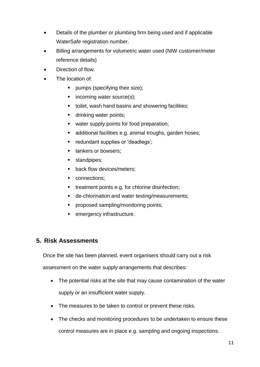- Details of the plumber or plumbing firm being used and if applicable WaterSafe registration number.
- Billing arrangements for volumetric water used (NIW customer/meter reference details)
- Direction of flow.
- The location of:
	- **•** pumps (specifying their size);
	- $\blacksquare$  incoming water source(s);
	- **tionally** toilet, wash hand basins and showering facilities;
	- **drinking water points;**
	- **•** water supply points for food preparation;
	- additional facilities e.g. animal troughs, garden hoses;
	- redundant supplies or 'deadlegs';
	- **tankers or bowsers;**
	- standpipes;
	- **back flow devices/meters;**
	- connections;
	- treatment points e.g. for chlorine disinfection;
	- **de-chlorination and water testing/measurements;**
	- **Peroposed sampling/monitoring points;**
	- **EXECUTE:** emergency infrastructure.

## <span id="page-10-0"></span>**5. Risk Assessments**

Once the site has been planned, event organisers should carry out a risk

assessment on the water supply arrangements that describes:

- The potential risks at the site that may cause contamination of the water supply or an insufficient water supply.
- The measures to be taken to control or prevent these risks.
- The checks and monitoring procedures to be undertaken to ensure these control measures are in place e.g. sampling and ongoing inspections.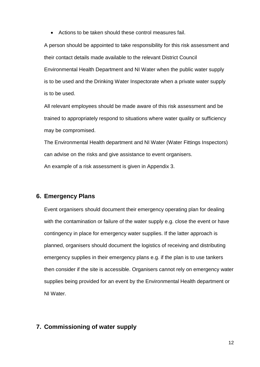Actions to be taken should these control measures fail.

A person should be appointed to take responsibility for this risk assessment and their contact details made available to the relevant District Council Environmental Health Department and NI Water when the public water supply is to be used and the Drinking Water Inspectorate when a private water supply is to be used.

All relevant employees should be made aware of this risk assessment and be trained to appropriately respond to situations where water quality or sufficiency may be compromised.

The Environmental Health department and NI Water (Water Fittings Inspectors) can advise on the risks and give assistance to event organisers.

An example of a risk assessment is given in Appendix 3.

## <span id="page-11-0"></span>**6. Emergency Plans**

Event organisers should document their emergency operating plan for dealing with the contamination or failure of the water supply e.g. close the event or have contingency in place for emergency water supplies. If the latter approach is planned, organisers should document the logistics of receiving and distributing emergency supplies in their emergency plans e.g. if the plan is to use tankers then consider if the site is accessible. Organisers cannot rely on emergency water supplies being provided for an event by the Environmental Health department or NI Water.

## <span id="page-11-1"></span>**7. Commissioning of water supply**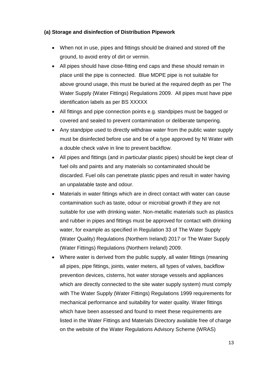## **(a) Storage and disinfection of Distribution Pipework**

- When not in use, pipes and fittings should be drained and stored off the ground, to avoid entry of dirt or vermin.
- All pipes should have close-fitting end caps and these should remain in place until the pipe is connected. Blue MDPE pipe is not suitable for above ground usage, this must be buried at the required depth as per The Water Supply (Water Fittings) Regulations 2009. All pipes must have pipe identification labels as per BS XXXXX
- All fittings and pipe connection points e.g. standpipes must be bagged or covered and sealed to prevent contamination or deliberate tampering.
- Any standpipe used to directly withdraw water from the public water supply must be disinfected before use and be of a type approved by NI Water with a double check valve in line to prevent backflow.
- All pipes and fittings (and in particular plastic pipes) should be kept clear of fuel oils and paints and any materials so contaminated should be discarded. Fuel oils can penetrate plastic pipes and result in water having an unpalatable taste and odour.
- Materials in water fittings which are in direct contact with water can cause contamination such as taste, odour or microbial growth if they are not suitable for use with drinking water. Non-metallic materials such as plastics and rubber in pipes and fittings must be approved for contact with drinking water, for example as specified in Regulation 33 of The Water Supply (Water Quality) Regulations (Northern Ireland) 2017 or The Water Supply (Water Fittings) Regulations (Northern Ireland) 2009.
- Where water is derived from the public supply, all water fittings (meaning all pipes, pipe fittings, joints, water meters, all types of valves, backflow prevention devices, cisterns, hot water storage vessels and appliances which are directly connected to the site water supply system) must comply with The Water Supply (Water Fittings) Regulations 1999 requirements for mechanical performance and suitability for water quality. Water fittings which have been assessed and found to meet these requirements are listed in the Water Fittings and Materials Directory available free of charge on the website of the Water Regulations Advisory Scheme (WRAS)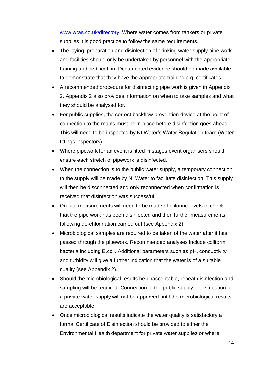[www.wras.co.uk/directory.](http://www.wras.co.uk/directory) Where water comes from tankers or private supplies it is good practice to follow the same requirements.

- The laying, preparation and disinfection of drinking water supply pipe work and facilities should only be undertaken by personnel with the appropriate training and certification. Documented evidence should be made available to demonstrate that they have the appropriate training e.g. certificates.
- A recommended procedure for disinfecting pipe work is given in Appendix 2. Appendix 2 also provides information on when to take samples and what they should be analysed for.
- For public supplies, the correct backflow prevention device at the point of connection to the mains must be in place before disinfection goes ahead. This will need to be inspected by NI Water's Water Regulation team (Water fittings inspectors).
- Where pipework for an event is fitted in stages event organisers should ensure each stretch of pipework is disinfected.
- When the connection is to the public water supply, a temporary connection to the supply will be made by NI Water to facilitate disinfection. This supply will then be disconnected and only reconnected when confirmation is received that disinfection was successful.
- On-site measurements will need to be made of chlorine levels to check that the pipe work has been disinfected and then further measurements following de-chlorination carried out (see Appendix 2).
- Microbiological samples are required to be taken of the water after it has passed through the pipework. Recommended analyses include coliform bacteria including E.coli. Additional parameters such as pH, conductivity and turbidity will give a further indication that the water is of a suitable quality (see Appendix 2).
- Should the microbiological results be unacceptable, repeat disinfection and sampling will be required. Connection to the public supply or distribution of a private water supply will not be approved until the microbiological results are acceptable.
- Once microbiological results indicate the water quality is satisfactory a formal Certificate of Disinfection should be provided to either the Environmental Health department for private water supplies or where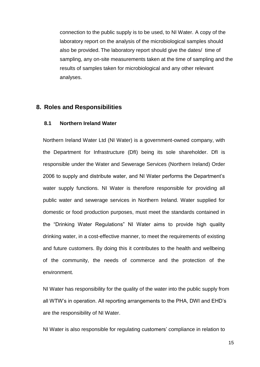connection to the public supply is to be used, to NI Water. A copy of the laboratory report on the analysis of the microbiological samples should also be provided. The laboratory report should give the dates/ time of sampling, any on-site measurements taken at the time of sampling and the results of samples taken for microbiological and any other relevant analyses.

### <span id="page-14-0"></span>**8. Roles and Responsibilities**

### <span id="page-14-1"></span>**8.1 Northern Ireland Water**

Northern Ireland Water Ltd (NI Water) is a government-owned company, with the Department for Infrastructure (DfI) being its sole shareholder. DfI is responsible under the Water and Sewerage Services (Northern Ireland) Order 2006 to supply and distribute water, and NI Water performs the Department's water supply functions. NI Water is therefore responsible for providing all public water and sewerage services in Northern Ireland. Water supplied for domestic or food production purposes, must meet the standards contained in the "Drinking Water Regulations" NI Water aims to provide high quality drinking water, in a cost-effective manner, to meet the requirements of existing and future customers. By doing this it contributes to the health and wellbeing of the community, the needs of commerce and the protection of the environment.

NI Water has responsibility for the quality of the water into the public supply from all WTW's in operation. All reporting arrangements to the PHA, DWI and EHD's are the responsibility of NI Water.

NI Water is also responsible for regulating customers' compliance in relation to

15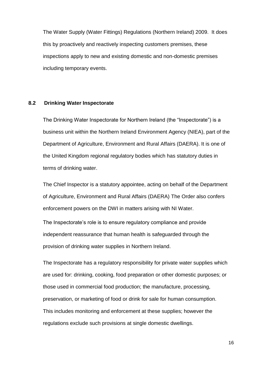The Water Supply (Water Fittings) Regulations (Northern Ireland) 2009. It does this by proactively and reactively inspecting customers premises, these inspections apply to new and existing domestic and non-domestic premises including temporary events.

#### <span id="page-15-0"></span>**8.2 Drinking Water Inspectorate**

The Drinking Water Inspectorate for Northern Ireland (the "Inspectorate") is a business unit within the Northern Ireland Environment Agency (NIEA), part of the Department of Agriculture, Environment and Rural Affairs (DAERA). It is one of the United Kingdom regional regulatory bodies which has statutory duties in terms of drinking water.

The Chief Inspector is a statutory appointee, acting on behalf of the Department of Agriculture, Environment and Rural Affairs (DAERA) The Order also confers enforcement powers on the DWI in matters arising with NI Water.

The Inspectorate's role is to ensure regulatory compliance and provide independent reassurance that human health is safeguarded through the provision of drinking water supplies in Northern Ireland.

The Inspectorate has a regulatory responsibility for private water supplies which are used for: drinking, cooking, food preparation or other domestic purposes; or those used in commercial food production; the manufacture, processing, preservation, or marketing of food or drink for sale for human consumption. This includes monitoring and enforcement at these supplies; however the regulations exclude such provisions at single domestic dwellings.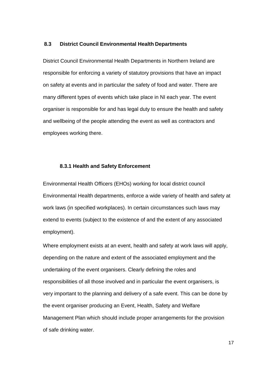#### <span id="page-16-0"></span>**8.3 District Council Environmental Health Departments**

District Council Environmental Health Departments in Northern Ireland are responsible for enforcing a variety of statutory provisions that have an impact on safety at events and in particular the safety of food and water. There are many different types of events which take place in NI each year. The event organiser is responsible for and has legal duty to ensure the health and safety and wellbeing of the people attending the event as well as contractors and employees working there.

#### **8.3.1 Health and Safety Enforcement**

<span id="page-16-1"></span>Environmental Health Officers (EHOs) working for local district council Environmental Health departments, enforce a wide variety of health and safety at work laws (in specified workplaces). In certain circumstances such laws may extend to events (subject to the existence of and the extent of any associated employment).

Where employment exists at an event, health and safety at work laws will apply, depending on the nature and extent of the associated employment and the undertaking of the event organisers. Clearly defining the roles and responsibilities of all those involved and in particular the event organisers, is very important to the planning and delivery of a safe event. This can be done by the event organiser producing an Event, Health, Safety and Welfare Management Plan which should include proper arrangements for the provision of safe drinking water.

17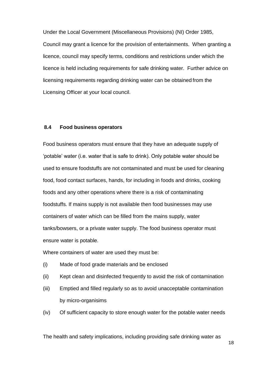Under the Local Government (Miscellaneous Provisions) (NI) Order 1985, Council may grant a licence for the provision of entertainments. When granting a licence, council may specify terms, conditions and restrictions under which the licence is held including requirements for safe drinking water. Further advice on licensing requirements regarding drinking water can be obtained from the Licensing Officer at your local council.

#### <span id="page-17-0"></span>**8.4 Food business operators**

Food business operators must ensure that they have an adequate supply of 'potable' water (i.e. water that is safe to drink). Only potable water should be used to ensure foodstuffs are not contaminated and must be used for cleaning food, food contact surfaces, hands, for including in foods and drinks, cooking foods and any other operations where there is a risk of contaminating foodstuffs. If mains supply is not available then food businesses may use containers of water which can be filled from the mains supply, water tanks/bowsers, or a private water supply. The food business operator must ensure water is potable.

Where containers of water are used they must be:

- (i) Made of food grade materials and be enclosed
- (ii) Kept clean and disinfected frequently to avoid the risk of contamination
- (iii) Emptied and filled regularly so as to avoid unacceptable contamination by micro-organisims

(iv) Of sufficient capacity to store enough water for the potable water needs

The health and safety implications, including providing safe drinking water as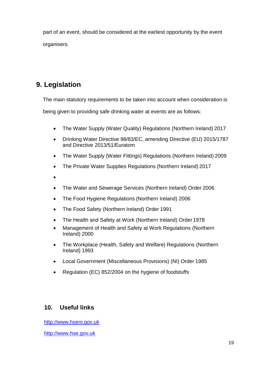part of an event, should be considered at the earliest opportunity by the event organisers.

# <span id="page-18-0"></span>**9. Legislation**

The main statutory requirements to be taken into account when consideration is

being given to providing safe drinking water at events are as follows:

- The Water Supply (Water Quality) Regulations (Northern Ireland) 2017
- Drinking Water Directive 98/83/EC, amending Directive (EU) 2015/1787 and Directive 2013/51/Euratom
- The Water Supply (Water Fittings) Regulations (Northern Ireland) 2009
- The Private Water Supplies Regulations (Northern Ireland) 2017
- $\bullet$
- The Water and Sewerage Services (Northern Ireland) Order 2006
- The Food Hygiene Regulations (Northern Ireland) 2006
- The Food Safety (Northern Ireland) Order 1991
- The Health and Safety at Work (Northern Ireland) Order 1978
- Management of Health and Safety at Work Regulations (Northern Ireland) 2000
- The Workplace (Health, Safety and Welfare) Regulations (Northern Ireland) 1993
- Local Government (Miscellaneous Provisions) (NI) Order 1985
- Regulation (EC) 852/2004 on the hygiene of foodstuffs

## <span id="page-18-1"></span>**10. Useful links**

[http://www.hseni.gov.uk](http://www.hseni.gov.uk/)

[http://www.hse.gov.uk](http://www.hse.gov.uk/)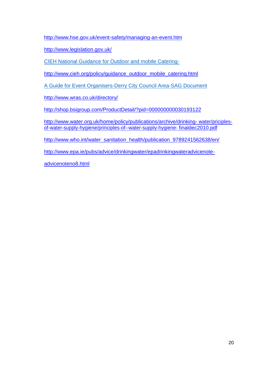<http://www.hse.gov.uk/event-safety/managing-an-event.htm>

<http://www.legislation.gov.uk/>

[CIEH National Guidance for Outdoor and mobile Catering-](https://www.cieh.org/media/1254/cieh-national-guidance-for-outdoor-and-mobile-catering.pdf)

[http://www.cieh.org/policy/guidance\\_outdoor\\_mobile\\_catering.html](http://www.cieh.org/policy/guidance_outdoor_mobile_catering.html)

A Guide for Event [Organisers-Derry City Council Area-SAG Document](https://www.derrystrabane.com/Subsites/Environmental-Health/Safety-Advisory-Group)

<http://www.wras.co.uk/directory/>

<http://shop.bsigroup.com/ProductDetail/?pid=000000000030193122>

[http://www.water.org.uk/home/policy/publications/archive/drinking-](http://www.water.org.uk/home/policy/publications/archive/drinking-water/priciples-of-water-supply-hygiene/principles-of--water-supply-hygiene-finaldec2010.pdf) [water/priciples](http://www.water.org.uk/home/policy/publications/archive/drinking-water/priciples-of-water-supply-hygiene/principles-of--water-supply-hygiene-finaldec2010.pdf)[of-water-supply-hygiene/principles-of--water-supply-hygiene-](http://www.water.org.uk/home/policy/publications/archive/drinking-water/priciples-of-water-supply-hygiene/principles-of--water-supply-hygiene-finaldec2010.pdf) [finaldec2010.pdf](http://www.water.org.uk/home/policy/publications/archive/drinking-water/priciples-of-water-supply-hygiene/principles-of--water-supply-hygiene-finaldec2010.pdf)

[http://www.who.int/water\\_sanitation\\_health/publication\\_9789241562638/en/](http://www.who.int/water_sanitation_health/publication_9789241562638/en/)

[http://www.epa.ie/pubs/advice/drinkingwater/epadrinkingwateradvicenote-](http://www.epa.ie/pubs/advice/drinkingwater/epadrinkingwateradvicenote-advicenoteno8.html)

[advicenoteno8.html](http://www.epa.ie/pubs/advice/drinkingwater/epadrinkingwateradvicenote-advicenoteno8.html)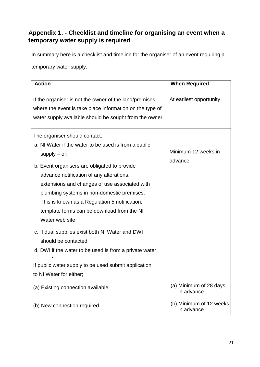## <span id="page-20-0"></span>**Appendix 1. - Checklist and timeline for organising an event when a temporary water supply is required**

In summary here is a checklist and timeline for the organiser of an event requiring a

temporary water supply.

| <b>Action</b>                                                                                                                                                                                                                                                                                                                                                                                                                                                                                                                                           | <b>When Required</b>                  |
|---------------------------------------------------------------------------------------------------------------------------------------------------------------------------------------------------------------------------------------------------------------------------------------------------------------------------------------------------------------------------------------------------------------------------------------------------------------------------------------------------------------------------------------------------------|---------------------------------------|
| If the organiser is not the owner of the land/premises<br>where the event is take place information on the type of<br>water supply available should be sought from the owner.                                                                                                                                                                                                                                                                                                                                                                           | At earliest opportunity               |
| The organiser should contact:<br>a. NI Water if the water to be used is from a public<br>$supply - or;$<br>b. Event organisers are obligated to provide<br>advance notification of any alterations,<br>extensions and changes of use associated with<br>plumbing systems in non-domestic premises.<br>This is known as a Regulation 5 notification,<br>template forms can be download from the NI<br>Water web site<br>c. If dual supplies exist both NI Water and DWI<br>should be contacted<br>d. DWI if the water to be used is from a private water | Minimum 12 weeks in<br>advance        |
| If public water supply to be used submit application<br>to NI Water for either;                                                                                                                                                                                                                                                                                                                                                                                                                                                                         |                                       |
| (a) Existing connection available                                                                                                                                                                                                                                                                                                                                                                                                                                                                                                                       | (a) Minimum of 28 days<br>in advance  |
| (b) New connection required                                                                                                                                                                                                                                                                                                                                                                                                                                                                                                                             | (b) Minimum of 12 weeks<br>in advance |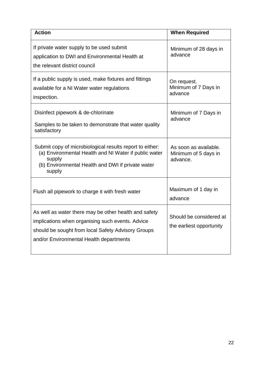| <b>Action</b>                                                                                                                                                                                              | <b>When Required</b>                                      |
|------------------------------------------------------------------------------------------------------------------------------------------------------------------------------------------------------------|-----------------------------------------------------------|
| If private water supply to be used submit<br>application to DWI and Environmental Health at<br>the relevant district council                                                                               | Minimum of 28 days in<br>advance                          |
| If a public supply is used, make fixtures and fittings<br>available for a NI Water water regulations<br>inspection.                                                                                        | On request.<br>Minimum of 7 Days in<br>advance            |
| Disinfect pipework & de-chlorinate<br>Samples to be taken to demonstrate that water quality<br>satisfactory                                                                                                | Minimum of 7 Days in<br>advance                           |
| Submit copy of microbiological results report to either:<br>(a) Environmental Health and NI Water if public water<br>supply<br>(b) Environmental Health and DWI if private water<br>supply                 | As soon as available.<br>Minimum of 5 days in<br>advance. |
| Flush all pipework to charge it with fresh water                                                                                                                                                           | Maximum of 1 day in<br>advance                            |
| As well as water there may be other health and safety<br>implications when organising such events. Advice<br>should be sought from local Safety Advisory Groups<br>and/or Environmental Health departments | Should be considered at<br>the earliest opportunity       |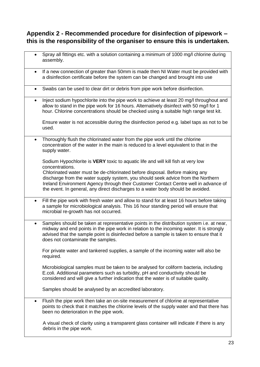## <span id="page-22-0"></span>**Appendix 2 - Recommended procedure for disinfection of pipework – this is the responsibility of the organiser to ensure this is undertaken.**

|           | Spray all fittings etc. with a solution containing a minimum of 1000 mg/l chlorine during<br>assembly.                                                                                                                                                                                                                |
|-----------|-----------------------------------------------------------------------------------------------------------------------------------------------------------------------------------------------------------------------------------------------------------------------------------------------------------------------|
| $\bullet$ | If a new connection of greater than 50mm is made then NI Water must be provided with<br>a disinfection certificate before the system can be changed and brought into use                                                                                                                                              |
| $\bullet$ | Swabs can be used to clear dirt or debris from pipe work before disinfection.                                                                                                                                                                                                                                         |
| $\bullet$ | Inject sodium hypochlorite into the pipe work to achieve at least 20 mg/l throughout and<br>allow to stand in the pipe work for 16 hours. Alternatively disinfect with 50 mg/l for 1<br>hour. Chlorine concentrations should be checked using a suitable high range test kit.                                         |
|           | Ensure water is not accessible during the disinfection period e.g. label taps as not to be<br>used.                                                                                                                                                                                                                   |
| $\bullet$ | Thoroughly flush the chlorinated water from the pipe work until the chlorine<br>concentration of the water in the main is reduced to a level equivalent to that in the<br>supply water.                                                                                                                               |
|           | Sodium Hypochlorite is VERY toxic to aquatic life and will kill fish at very low<br>concentrations.<br>Chlorinated water must be de-chlorinated before disposal. Before making any                                                                                                                                    |
|           | discharge from the water supply system, you should seek advice from the Northern<br>Ireland Environment Agency through their Customer Contact Centre well in advance of<br>the event. In general, any direct discharges to a water body should be avoided.                                                            |
| $\bullet$ | Fill the pipe work with fresh water and allow to stand for at least 16 hours before taking<br>a sample for microbiological analysis. This 16 hour standing period will ensure that<br>microbial re-growth has not occurred.                                                                                           |
| $\bullet$ | Samples should be taken at representative points in the distribution system i.e. at near,<br>midway and end points in the pipe work in relation to the incoming water. It is strongly<br>advised that the sample point is disinfected before a sample is taken to ensure that it<br>does not contaminate the samples. |
|           | For private water and tankered supplies, a sample of the incoming water will also be<br>required.                                                                                                                                                                                                                     |
|           | Microbiological samples must be taken to be analysed for coliform bacteria, including<br>E.coli. Additional parameters such as turbidity, pH and conductivity should be<br>considered and will give a further indication that the water is of suitable quality.                                                       |
|           | Samples should be analysed by an accredited laboratory.                                                                                                                                                                                                                                                               |
| ٠         | Flush the pipe work then take an on-site measurement of chlorine at representative<br>points to check that it matches the chlorine levels of the supply water and that there has<br>been no deterioration in the pipe work.                                                                                           |
|           | A visual check of clarity using a transparent glass container will indicate if there is any<br>debris in the pipe work.                                                                                                                                                                                               |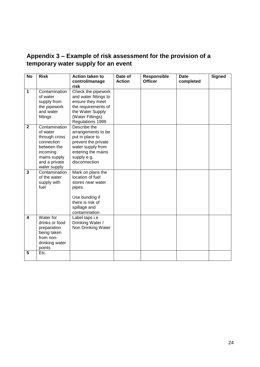## <span id="page-23-0"></span>**Appendix 3 – Example of risk assessment for the provision of a temporary water supply for an event**

| <b>No</b>               | <b>Risk</b>                                                                                                                          | <b>Action taken to</b><br>control/manage                                                                                                                   | Date of<br><b>Action</b> | Responsible<br><b>Officer</b> | <b>Date</b><br>completed | <b>Signed</b> |
|-------------------------|--------------------------------------------------------------------------------------------------------------------------------------|------------------------------------------------------------------------------------------------------------------------------------------------------------|--------------------------|-------------------------------|--------------------------|---------------|
| 1                       | Contamination<br>of water<br>supply from<br>the pipework<br>and water<br>fittings                                                    | risk<br>Check the pipework<br>and water fittings to<br>ensure they meet<br>the requirements of<br>the Water Supply<br>(Water Fittings)<br>Regulations 1999 |                          |                               |                          |               |
| $\mathbf{2}$            | Contamination<br>of water<br>through cross<br>connection<br>between the<br>incoming<br>mains supply<br>and a private<br>water supply | Describe the<br>arrangements to be<br>put in place to<br>prevent the private<br>water supply from<br>entering the mains<br>supply e.g.<br>disconnection    |                          |                               |                          |               |
| $\mathbf{3}$            | Contamination<br>of the water<br>supply with<br>fuel                                                                                 | Mark on plans the<br>location of fuel<br>stores near water<br>pipes.<br>Use bunding if<br>there is risk of<br>spillage and<br>contamination                |                          |                               |                          |               |
| $\overline{\mathbf{4}}$ | Water for<br>drinks or food<br>preparation<br>being taken<br>from non-<br>drinking water<br>points                                   | Label taps i.e<br>Drinking Water /<br>Non Drinking Water                                                                                                   |                          |                               |                          |               |
| 5                       | Etc.                                                                                                                                 |                                                                                                                                                            |                          |                               |                          |               |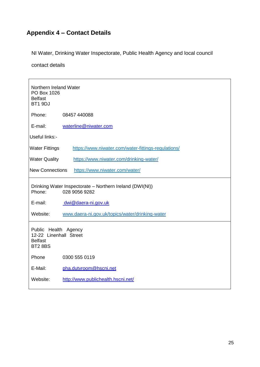# <span id="page-24-0"></span>**Appendix 4 – Contact Details**

NI Water, Drinking Water Inspectorate, Public Health Agency and local council

contact details

| Northern Ireland Water<br>PO Box 1026<br><b>Belfast</b><br>BT1 9DJ                  |                                                          |  |  |  |
|-------------------------------------------------------------------------------------|----------------------------------------------------------|--|--|--|
| Phone:                                                                              | 08457 440088                                             |  |  |  |
| E-mail:                                                                             | waterline@niwater.com                                    |  |  |  |
| Useful links:-                                                                      |                                                          |  |  |  |
| <b>Water Fittings</b>                                                               | https://www.niwater.com/water-fittings-regulations/      |  |  |  |
| <b>Water Quality</b>                                                                | https://www.niwater.com/drinking-water/                  |  |  |  |
|                                                                                     | <b>New Connections</b><br>https://www.niwater.com/water/ |  |  |  |
| Drinking Water Inspectorate - Northern Ireland (DWI(NI))<br>Phone:<br>028 9056 9282 |                                                          |  |  |  |
| E-mail:                                                                             | dwi@daera-ni.gov.uk                                      |  |  |  |
| Website:                                                                            | www.daera-ni.gov.uk/topics/water/drinking-water          |  |  |  |
| Public Health Agency<br>12-22 Linenhall Street<br><b>Belfast</b><br><b>BT2 8BS</b>  |                                                          |  |  |  |
| Phone                                                                               | 0300 555 0119                                            |  |  |  |
| E-Mail:                                                                             | pha.dutyroom@hscni.net                                   |  |  |  |
| Website:                                                                            | http://www.publichealth.hscni.net/                       |  |  |  |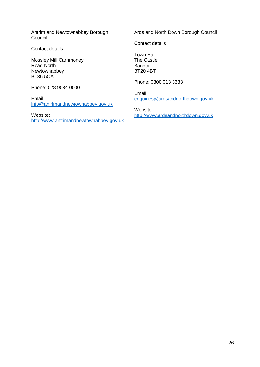| Antrim and Newtownabbey Borough         | Ards and North Down Borough Council |
|-----------------------------------------|-------------------------------------|
|                                         |                                     |
| Council                                 |                                     |
|                                         | Contact details                     |
| Contact details                         |                                     |
|                                         |                                     |
|                                         | Town Hall                           |
| <b>Mossley Mill Carnmoney</b>           | The Castle                          |
|                                         |                                     |
| Road North                              | Bangor                              |
| Newtownabbey                            | <b>BT204BT</b>                      |
|                                         |                                     |
| <b>BT36 5QA</b>                         |                                     |
|                                         | Phone: 0300 013 3333                |
|                                         |                                     |
| Phone: 028 9034 0000                    |                                     |
|                                         | Email:                              |
| Email:                                  |                                     |
|                                         | enquiries@ardsandnorthdown.gov.uk   |
| info@antrimandnewtownabbey.gov.uk       |                                     |
|                                         | Website:                            |
|                                         |                                     |
| Website:                                | http://www.ardsandnorthdown.gov.uk  |
| http://www.antrimandnewtownabbey.gov.uk |                                     |
|                                         |                                     |
|                                         |                                     |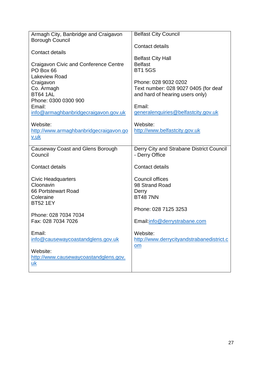| <b>Belfast City Council</b>                                |
|------------------------------------------------------------|
| <b>Contact details</b>                                     |
| <b>Belfast City Hall</b>                                   |
| <b>Belfast</b><br><b>BT15GS</b>                            |
| Phone: 028 9032 0202                                       |
| Text number: 028 9027 0405 (for deaf                       |
| and hard of hearing users only)                            |
| Email:                                                     |
| generalenquiries@belfastcity.gov.uk                        |
| Website:                                                   |
| http://www.belfastcity.gov.uk                              |
|                                                            |
| Derry City and Strabane District Council<br>- Derry Office |
| <b>Contact details</b>                                     |
| <b>Council offices</b>                                     |
| 98 Strand Road                                             |
| Derry<br><b>BT48 7NN</b>                                   |
|                                                            |
| Phone: 028 7125 3253                                       |
| Email:info@derrystrabane.com                               |
| Website:                                                   |
| http://www.derrycityandstrabanedistrict.c                  |
| <u>om</u>                                                  |
|                                                            |
|                                                            |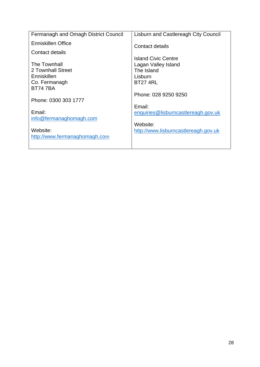| Fermanagh and Omagh District Council             | Lisburn and Castlereagh City Council                                                   |
|--------------------------------------------------|----------------------------------------------------------------------------------------|
| Enniskillen Office                               | Contact details                                                                        |
| Contact details                                  |                                                                                        |
| The Townhall<br>2 Townhall Street<br>Enniskillen | Island Civic Centre<br>Lagan Valley Island<br>The Island<br>Lisburn<br><b>BT27 4RL</b> |
| Co. Fermanagh<br><b>BT747BA</b>                  |                                                                                        |
|                                                  | Phone: 028 9250 9250                                                                   |
| Phone: 0300 303 1777                             | Email:                                                                                 |
| Email:<br>info@fermanaghomagh.com                | enquiries@lisburncastlereagh.gov.uk                                                    |
| Website:<br>http://www.fermanaghomagh.com        | Website:<br>http://www.lisburncastlereagh.gov.uk                                       |